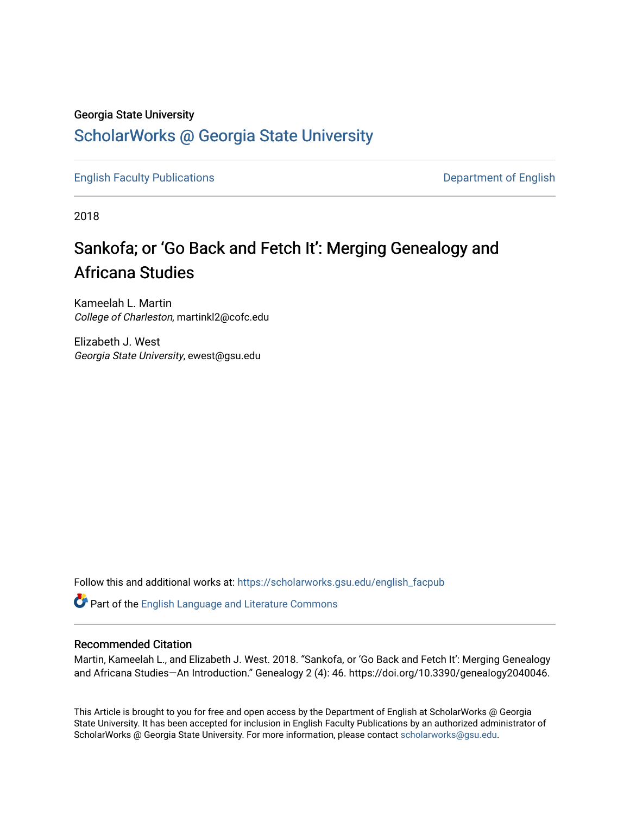### Georgia State University

## [ScholarWorks @ Georgia State University](https://scholarworks.gsu.edu/)

[English Faculty Publications](https://scholarworks.gsu.edu/english_facpub) **Department of English** 

2018

# Sankofa; or 'Go Back and Fetch It': Merging Genealogy and Africana Studies

Kameelah L. Martin College of Charleston, martinkl2@cofc.edu

Elizabeth J. West Georgia State University, ewest@gsu.edu

Follow this and additional works at: [https://scholarworks.gsu.edu/english\\_facpub](https://scholarworks.gsu.edu/english_facpub?utm_source=scholarworks.gsu.edu%2Fenglish_facpub%2F31&utm_medium=PDF&utm_campaign=PDFCoverPages)

Part of the [English Language and Literature Commons](http://network.bepress.com/hgg/discipline/455?utm_source=scholarworks.gsu.edu%2Fenglish_facpub%2F31&utm_medium=PDF&utm_campaign=PDFCoverPages)

#### Recommended Citation

Martin, Kameelah L., and Elizabeth J. West. 2018. "Sankofa, or 'Go Back and Fetch It': Merging Genealogy and Africana Studies—An Introduction." Genealogy 2 (4): 46. https://doi.org/10.3390/genealogy2040046.

This Article is brought to you for free and open access by the Department of English at ScholarWorks @ Georgia State University. It has been accepted for inclusion in English Faculty Publications by an authorized administrator of ScholarWorks @ Georgia State University. For more information, please contact [scholarworks@gsu.edu](mailto:scholarworks@gsu.edu).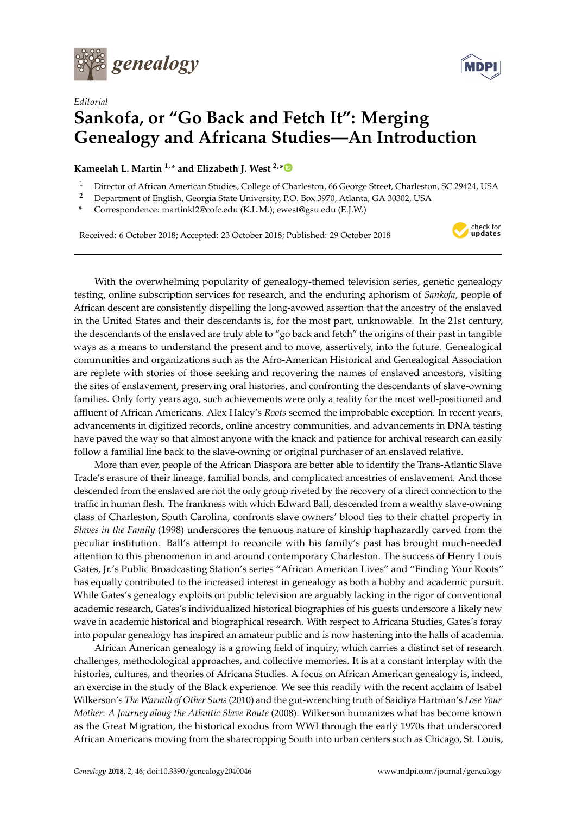



## *Editorial* **Sankofa, or "Go Back and Fetch It": Merging Genealogy and Africana Studies—An Introduction**

#### **Kameelah L. Martin 1,\* and Elizabeth J. West 2,[\\*](https://orcid.org/0000-0002-3466-701X)**

- <sup>1</sup> Director of African American Studies, College of Charleston, 66 George Street, Charleston, SC 29424, USA<br><sup>2</sup> Department of English Ceorgia State University P.O. Box 3970, Atlanta C.A. 30302, USA
- <sup>2</sup> Department of English, Georgia State University, P.O. Box 3970, Atlanta, GA 30302, USA
- **\*** Correspondence: martinkl2@cofc.edu (K.L.M.); ewest@gsu.edu (E.J.W.)

Received: 6 October 2018; Accepted: 23 October 2018; Published: 29 October 2018



With the overwhelming popularity of genealogy-themed television series, genetic genealogy testing, online subscription services for research, and the enduring aphorism of *Sankofa*, people of African descent are consistently dispelling the long-avowed assertion that the ancestry of the enslaved in the United States and their descendants is, for the most part, unknowable. In the 21st century, the descendants of the enslaved are truly able to "go back and fetch" the origins of their past in tangible ways as a means to understand the present and to move, assertively, into the future. Genealogical communities and organizations such as the Afro-American Historical and Genealogical Association are replete with stories of those seeking and recovering the names of enslaved ancestors, visiting the sites of enslavement, preserving oral histories, and confronting the descendants of slave-owning families. Only forty years ago, such achievements were only a reality for the most well-positioned and affluent of African Americans. Alex Haley's *Roots* seemed the improbable exception. In recent years, advancements in digitized records, online ancestry communities, and advancements in DNA testing have paved the way so that almost anyone with the knack and patience for archival research can easily follow a familial line back to the slave-owning or original purchaser of an enslaved relative.

More than ever, people of the African Diaspora are better able to identify the Trans-Atlantic Slave Trade's erasure of their lineage, familial bonds, and complicated ancestries of enslavement. And those descended from the enslaved are not the only group riveted by the recovery of a direct connection to the traffic in human flesh. The frankness with which Edward Ball, descended from a wealthy slave-owning class of Charleston, South Carolina, confronts slave owners' blood ties to their chattel property in *Slaves in the Family* (1998) underscores the tenuous nature of kinship haphazardly carved from the peculiar institution. Ball's attempt to reconcile with his family's past has brought much-needed attention to this phenomenon in and around contemporary Charleston. The success of Henry Louis Gates, Jr.'s Public Broadcasting Station's series "African American Lives" and "Finding Your Roots" has equally contributed to the increased interest in genealogy as both a hobby and academic pursuit. While Gates's genealogy exploits on public television are arguably lacking in the rigor of conventional academic research, Gates's individualized historical biographies of his guests underscore a likely new wave in academic historical and biographical research. With respect to Africana Studies, Gates's foray into popular genealogy has inspired an amateur public and is now hastening into the halls of academia.

African American genealogy is a growing field of inquiry, which carries a distinct set of research challenges, methodological approaches, and collective memories. It is at a constant interplay with the histories, cultures, and theories of Africana Studies. A focus on African American genealogy is, indeed, an exercise in the study of the Black experience. We see this readily with the recent acclaim of Isabel Wilkerson's *The Warmth of Other Suns* (2010) and the gut-wrenching truth of Saidiya Hartman's *Lose Your Mother*: *A Journey along the Atlantic Slave Route* (2008). Wilkerson humanizes what has become known as the Great Migration, the historical exodus from WWI through the early 1970s that underscored African Americans moving from the sharecropping South into urban centers such as Chicago, St. Louis,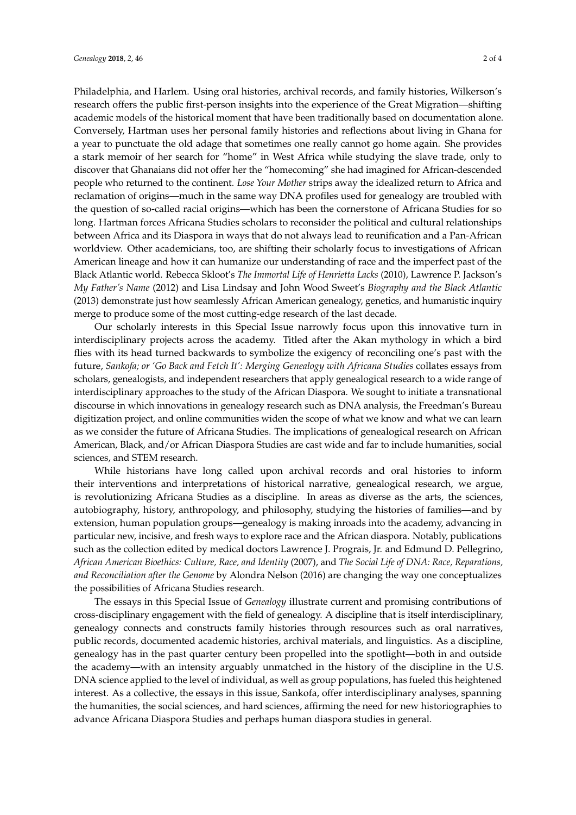Philadelphia, and Harlem. Using oral histories, archival records, and family histories, Wilkerson's research offers the public first-person insights into the experience of the Great Migration—shifting academic models of the historical moment that have been traditionally based on documentation alone. Conversely, Hartman uses her personal family histories and reflections about living in Ghana for a year to punctuate the old adage that sometimes one really cannot go home again. She provides a stark memoir of her search for "home" in West Africa while studying the slave trade, only to discover that Ghanaians did not offer her the "homecoming" she had imagined for African-descended people who returned to the continent. *Lose Your Mother* strips away the idealized return to Africa and reclamation of origins—much in the same way DNA profiles used for genealogy are troubled with the question of so-called racial origins—which has been the cornerstone of Africana Studies for so long. Hartman forces Africana Studies scholars to reconsider the political and cultural relationships between Africa and its Diaspora in ways that do not always lead to reunification and a Pan-African worldview. Other academicians, too, are shifting their scholarly focus to investigations of African American lineage and how it can humanize our understanding of race and the imperfect past of the Black Atlantic world. Rebecca Skloot's *The Immortal Life of Henrietta Lacks* (2010), Lawrence P. Jackson's *My Father's Name* (2012) and Lisa Lindsay and John Wood Sweet's *Biography and the Black Atlantic* (2013) demonstrate just how seamlessly African American genealogy, genetics, and humanistic inquiry merge to produce some of the most cutting-edge research of the last decade.

Our scholarly interests in this Special Issue narrowly focus upon this innovative turn in interdisciplinary projects across the academy. Titled after the Akan mythology in which a bird flies with its head turned backwards to symbolize the exigency of reconciling one's past with the future, *Sankofa; or 'Go Back and Fetch It': Merging Genealogy with Africana Studies* collates essays from scholars, genealogists, and independent researchers that apply genealogical research to a wide range of interdisciplinary approaches to the study of the African Diaspora. We sought to initiate a transnational discourse in which innovations in genealogy research such as DNA analysis, the Freedman's Bureau digitization project, and online communities widen the scope of what we know and what we can learn as we consider the future of Africana Studies. The implications of genealogical research on African American, Black, and/or African Diaspora Studies are cast wide and far to include humanities, social sciences, and STEM research.

While historians have long called upon archival records and oral histories to inform their interventions and interpretations of historical narrative, genealogical research, we argue, is revolutionizing Africana Studies as a discipline. In areas as diverse as the arts, the sciences, autobiography, history, anthropology, and philosophy, studying the histories of families—and by extension, human population groups—genealogy is making inroads into the academy, advancing in particular new, incisive, and fresh ways to explore race and the African diaspora. Notably, publications such as the collection edited by medical doctors Lawrence J. Prograis, Jr. and Edmund D. Pellegrino, *African American Bioethics: Culture, Race, and Identity* (2007), and *The Social Life of DNA: Race, Reparations, and Reconciliation after the Genome* by Alondra Nelson (2016) are changing the way one conceptualizes the possibilities of Africana Studies research.

The essays in this Special Issue of *Genealogy* illustrate current and promising contributions of cross-disciplinary engagement with the field of genealogy. A discipline that is itself interdisciplinary, genealogy connects and constructs family histories through resources such as oral narratives, public records, documented academic histories, archival materials, and linguistics. As a discipline, genealogy has in the past quarter century been propelled into the spotlight—both in and outside the academy—with an intensity arguably unmatched in the history of the discipline in the U.S. DNA science applied to the level of individual, as well as group populations, has fueled this heightened interest. As a collective, the essays in this issue, Sankofa, offer interdisciplinary analyses, spanning the humanities, the social sciences, and hard sciences, affirming the need for new historiographies to advance Africana Diaspora Studies and perhaps human diaspora studies in general.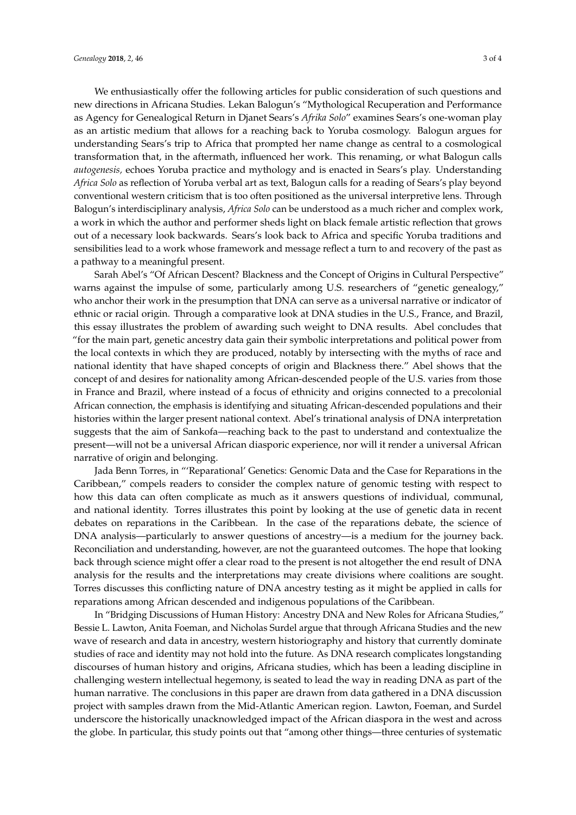We enthusiastically offer the following articles for public consideration of such questions and new directions in Africana Studies. Lekan Balogun's "Mythological Recuperation and Performance as Agency for Genealogical Return in Djanet Sears's *Afrika Solo*" examines Sears's one-woman play as an artistic medium that allows for a reaching back to Yoruba cosmology. Balogun argues for understanding Sears's trip to Africa that prompted her name change as central to a cosmological transformation that, in the aftermath, influenced her work. This renaming, or what Balogun calls *autogenesis,* echoes Yoruba practice and mythology and is enacted in Sears's play. Understanding *Africa Solo* as reflection of Yoruba verbal art as text, Balogun calls for a reading of Sears's play beyond conventional western criticism that is too often positioned as the universal interpretive lens. Through Balogun's interdisciplinary analysis, *Africa Solo* can be understood as a much richer and complex work, a work in which the author and performer sheds light on black female artistic reflection that grows out of a necessary look backwards. Sears's look back to Africa and specific Yoruba traditions and sensibilities lead to a work whose framework and message reflect a turn to and recovery of the past as a pathway to a meaningful present.

Sarah Abel's "Of African Descent? Blackness and the Concept of Origins in Cultural Perspective" warns against the impulse of some, particularly among U.S. researchers of "genetic genealogy," who anchor their work in the presumption that DNA can serve as a universal narrative or indicator of ethnic or racial origin. Through a comparative look at DNA studies in the U.S., France, and Brazil, this essay illustrates the problem of awarding such weight to DNA results. Abel concludes that "for the main part, genetic ancestry data gain their symbolic interpretations and political power from the local contexts in which they are produced, notably by intersecting with the myths of race and national identity that have shaped concepts of origin and Blackness there." Abel shows that the concept of and desires for nationality among African-descended people of the U.S. varies from those in France and Brazil, where instead of a focus of ethnicity and origins connected to a precolonial African connection, the emphasis is identifying and situating African-descended populations and their histories within the larger present national context. Abel's trinational analysis of DNA interpretation suggests that the aim of Sankofa—reaching back to the past to understand and contextualize the present—will not be a universal African diasporic experience, nor will it render a universal African narrative of origin and belonging.

Jada Benn Torres, in "'Reparational' Genetics: Genomic Data and the Case for Reparations in the Caribbean," compels readers to consider the complex nature of genomic testing with respect to how this data can often complicate as much as it answers questions of individual, communal, and national identity. Torres illustrates this point by looking at the use of genetic data in recent debates on reparations in the Caribbean. In the case of the reparations debate, the science of DNA analysis—particularly to answer questions of ancestry—is a medium for the journey back. Reconciliation and understanding, however, are not the guaranteed outcomes. The hope that looking back through science might offer a clear road to the present is not altogether the end result of DNA analysis for the results and the interpretations may create divisions where coalitions are sought. Torres discusses this conflicting nature of DNA ancestry testing as it might be applied in calls for reparations among African descended and indigenous populations of the Caribbean.

In "Bridging Discussions of Human History: Ancestry DNA and New Roles for Africana Studies," Bessie L. Lawton, Anita Foeman, and Nicholas Surdel argue that through Africana Studies and the new wave of research and data in ancestry, western historiography and history that currently dominate studies of race and identity may not hold into the future. As DNA research complicates longstanding discourses of human history and origins, Africana studies, which has been a leading discipline in challenging western intellectual hegemony, is seated to lead the way in reading DNA as part of the human narrative. The conclusions in this paper are drawn from data gathered in a DNA discussion project with samples drawn from the Mid-Atlantic American region. Lawton, Foeman, and Surdel underscore the historically unacknowledged impact of the African diaspora in the west and across the globe. In particular, this study points out that "among other things—three centuries of systematic